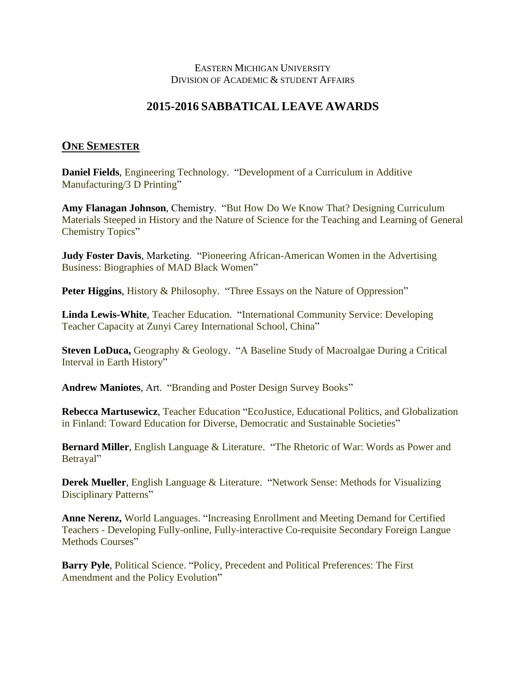## EASTERN MICHIGAN UNIVERSITY DIVISION OF ACADEMIC & STUDENT AFFAIRS

## **2015-2016 SABBATICAL LEAVE AWARDS**

## **ONE SEMESTER**

**Daniel Fields**, Engineering Technology. "Development of a Curriculum in Additive Manufacturing/3 D Printing"

**Amy Flanagan Johnson**, Chemistry. "But How Do We Know That? Designing Curriculum Materials Steeped in History and the Nature of Science for the Teaching and Learning of General Chemistry Topics"

**Judy Foster Davis**, Marketing. "Pioneering African-American Women in the Advertising Business: Biographies of MAD Black Women"

**Peter Higgins**, History & Philosophy. "Three Essays on the Nature of Oppression"

**Linda Lewis-White**, Teacher Education. "International Community Service: Developing Teacher Capacity at Zunyi Carey International School, China"

**Steven LoDuca,** Geography & Geology. "A Baseline Study of Macroalgae During a Critical Interval in Earth History"

**Andrew Maniotes**, Art. "Branding and Poster Design Survey Books"

**Rebecca Martusewicz**, Teacher Education "EcoJustice, Educational Politics, and Globalization in Finland: Toward Education for Diverse, Democratic and Sustainable Societies"

**Bernard Miller**, English Language & Literature. "The Rhetoric of War: Words as Power and Betrayal"

**Derek Mueller**, English Language & Literature. "Network Sense: Methods for Visualizing Disciplinary Patterns"

**Anne Nerenz,** World Languages. "Increasing Enrollment and Meeting Demand for Certified Teachers - Developing Fully-online, Fully-interactive Co-requisite Secondary Foreign Langue Methods Courses"

**Barry Pyle**, Political Science. "Policy, Precedent and Political Preferences: The First Amendment and the Policy Evolution"